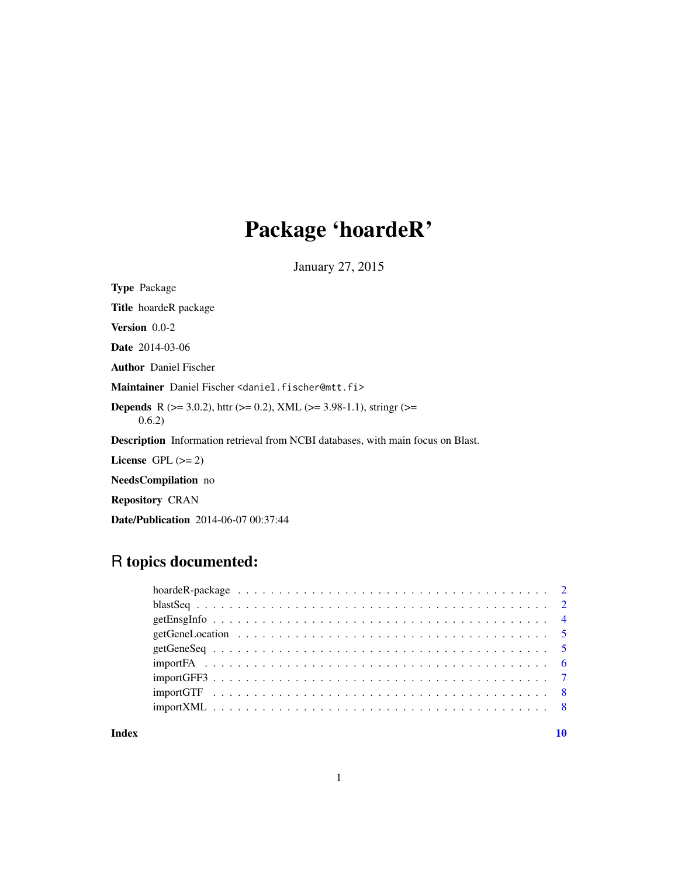# Package 'hoardeR'

January 27, 2015

Type Package Title hoardeR package Version 0.0-2 Date 2014-03-06 Author Daniel Fischer Maintainer Daniel Fischer <daniel.fischer@mtt.fi> **Depends** R ( $>= 3.0.2$ ), httr ( $>= 0.2$ ), XML ( $>= 3.98-1.1$ ), stringr ( $>=$ 0.6.2) Description Information retrieval from NCBI databases, with main focus on Blast. License GPL  $(>= 2)$ NeedsCompilation no Repository CRAN

Date/Publication 2014-06-07 00:37:44

# R topics documented:

#### $\blacksquare$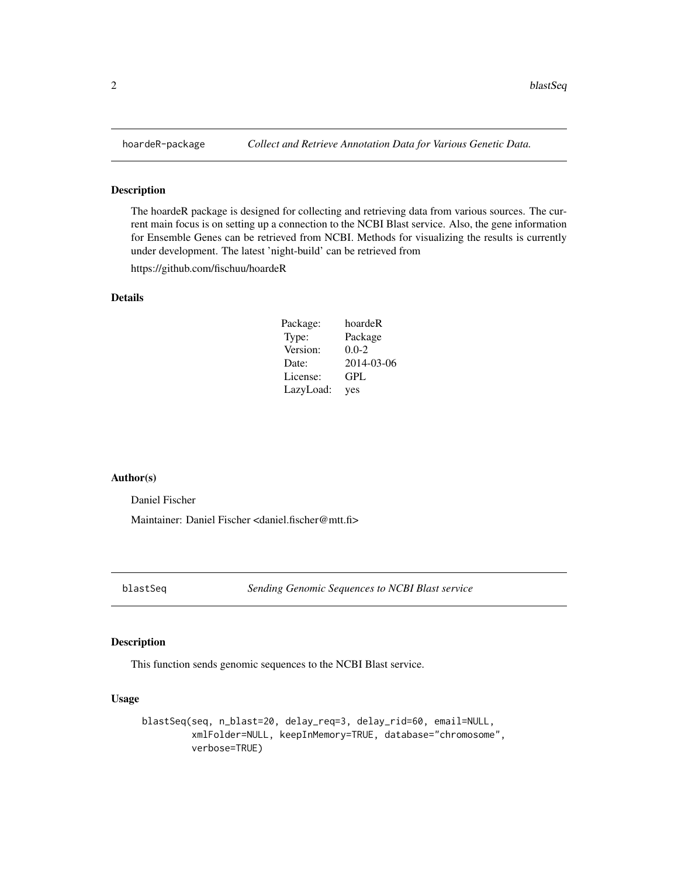<span id="page-1-0"></span>

#### Description

The hoardeR package is designed for collecting and retrieving data from various sources. The current main focus is on setting up a connection to the NCBI Blast service. Also, the gene information for Ensemble Genes can be retrieved from NCBI. Methods for visualizing the results is currently under development. The latest 'night-build' can be retrieved from

https://github.com/fischuu/hoardeR

#### Details

| Package:  | hoardeR    |
|-----------|------------|
| Type:     | Package    |
| Version:  | $0.0 - 2$  |
| Date:     | 2014-03-06 |
| License:  | GPL        |
| LazyLoad: | yes        |

#### Author(s)

Daniel Fischer

Maintainer: Daniel Fischer <daniel.fischer@mtt.fi>

blastSeq *Sending Genomic Sequences to NCBI Blast service*

#### Description

This function sends genomic sequences to the NCBI Blast service.

#### Usage

```
blastSeq(seq, n_blast=20, delay_req=3, delay_rid=60, email=NULL,
         xmlFolder=NULL, keepInMemory=TRUE, database="chromosome",
         verbose=TRUE)
```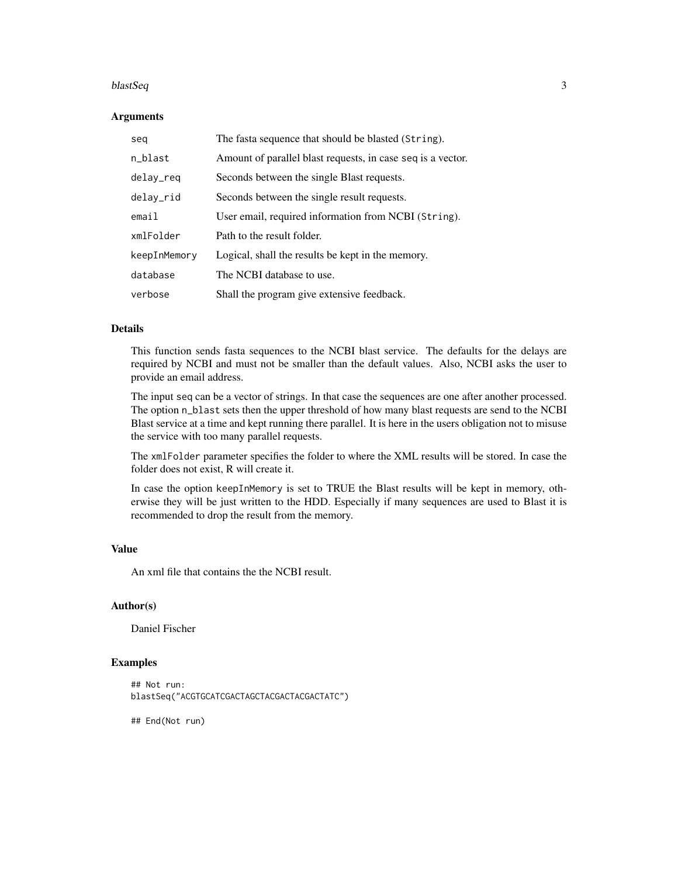#### blastSeq 3

#### Arguments

| sea          | The fasta sequence that should be blasted (String).         |
|--------------|-------------------------------------------------------------|
| n_blast      | Amount of parallel blast requests, in case seq is a vector. |
| delay_req    | Seconds between the single Blast requests.                  |
| delay_rid    | Seconds between the single result requests.                 |
| email        | User email, required information from NCBI (String).        |
| xmlFolder    | Path to the result folder.                                  |
| keepInMemory | Logical, shall the results be kept in the memory.           |
| database     | The NCBI database to use.                                   |
| verbose      | Shall the program give extensive feedback.                  |

#### Details

This function sends fasta sequences to the NCBI blast service. The defaults for the delays are required by NCBI and must not be smaller than the default values. Also, NCBI asks the user to provide an email address.

The input seq can be a vector of strings. In that case the sequences are one after another processed. The option n\_blast sets then the upper threshold of how many blast requests are send to the NCBI Blast service at a time and kept running there parallel. It is here in the users obligation not to misuse the service with too many parallel requests.

The xmlFolder parameter specifies the folder to where the XML results will be stored. In case the folder does not exist, R will create it.

In case the option keepInMemory is set to TRUE the Blast results will be kept in memory, otherwise they will be just written to the HDD. Especially if many sequences are used to Blast it is recommended to drop the result from the memory.

#### Value

An xml file that contains the the NCBI result.

#### Author(s)

Daniel Fischer

#### Examples

```
## Not run:
blastSeq("ACGTGCATCGACTAGCTACGACTACGACTATC")
```
## End(Not run)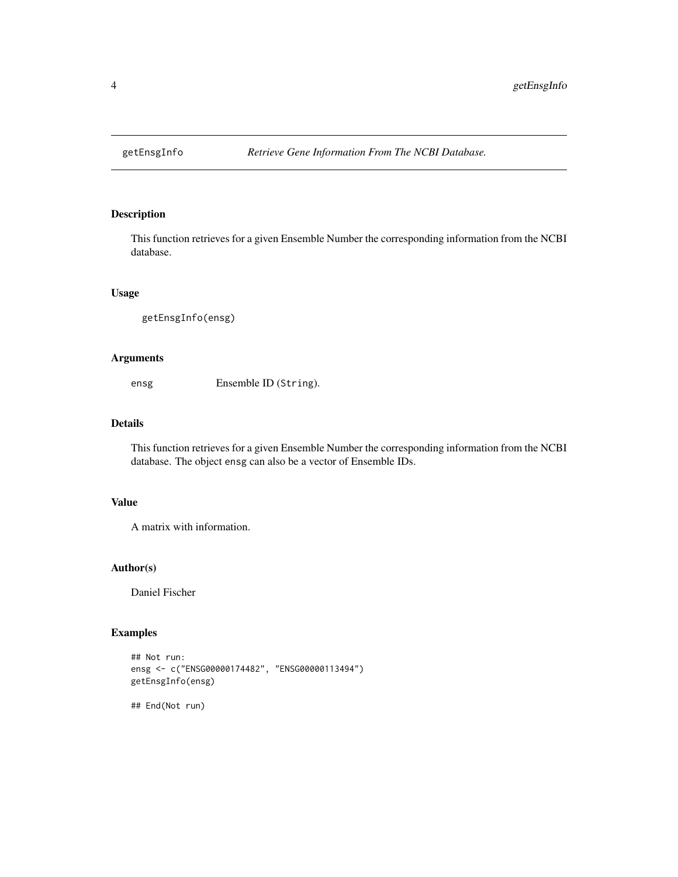<span id="page-3-0"></span>

#### Description

This function retrieves for a given Ensemble Number the corresponding information from the NCBI database.

#### Usage

```
getEnsgInfo(ensg)
```
# Arguments

ensg Ensemble ID (String).

#### Details

This function retrieves for a given Ensemble Number the corresponding information from the NCBI database. The object ensg can also be a vector of Ensemble IDs.

#### Value

A matrix with information.

#### Author(s)

Daniel Fischer

# Examples

```
## Not run:
ensg <- c("ENSG00000174482", "ENSG00000113494")
getEnsgInfo(ensg)
```
## End(Not run)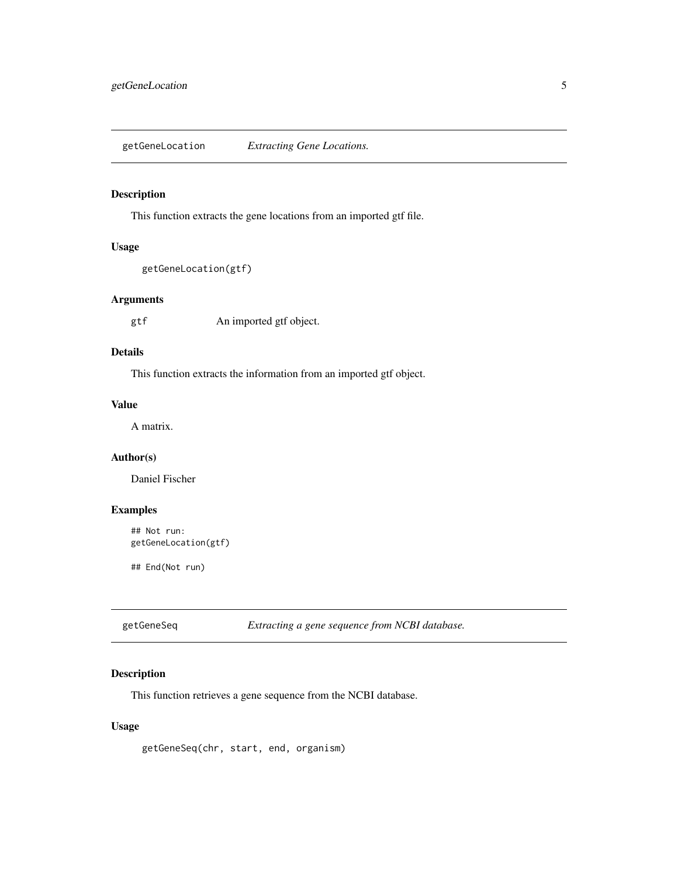<span id="page-4-0"></span>getGeneLocation *Extracting Gene Locations.*

# Description

This function extracts the gene locations from an imported gtf file.

#### Usage

```
getGeneLocation(gtf)
```
#### Arguments

gtf An imported gtf object.

#### Details

This function extracts the information from an imported gtf object.

# Value

A matrix.

# Author(s)

Daniel Fischer

# Examples

```
## Not run:
getGeneLocation(gtf)
```
## End(Not run)

getGeneSeq *Extracting a gene sequence from NCBI database.*

# Description

This function retrieves a gene sequence from the NCBI database.

#### Usage

getGeneSeq(chr, start, end, organism)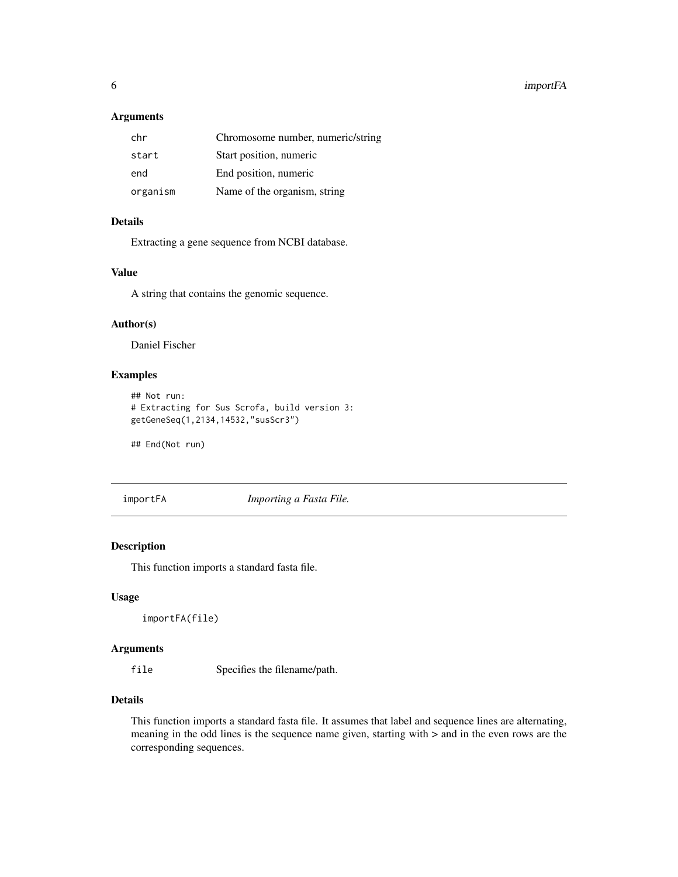#### <span id="page-5-0"></span>6 importFA

# Arguments

| chr      | Chromosome number, numeric/string |
|----------|-----------------------------------|
| start    | Start position, numeric           |
| end      | End position, numeric             |
| organism | Name of the organism, string      |

# Details

Extracting a gene sequence from NCBI database.

# Value

A string that contains the genomic sequence.

# Author(s)

Daniel Fischer

# Examples

```
## Not run:
# Extracting for Sus Scrofa, build version 3:
getGeneSeq(1,2134,14532,"susScr3")
```
## End(Not run)

importFA *Importing a Fasta File.*

# Description

This function imports a standard fasta file.

# Usage

importFA(file)

#### Arguments

file Specifies the filename/path.

#### Details

This function imports a standard fasta file. It assumes that label and sequence lines are alternating, meaning in the odd lines is the sequence name given, starting with  $>$  and in the even rows are the corresponding sequences.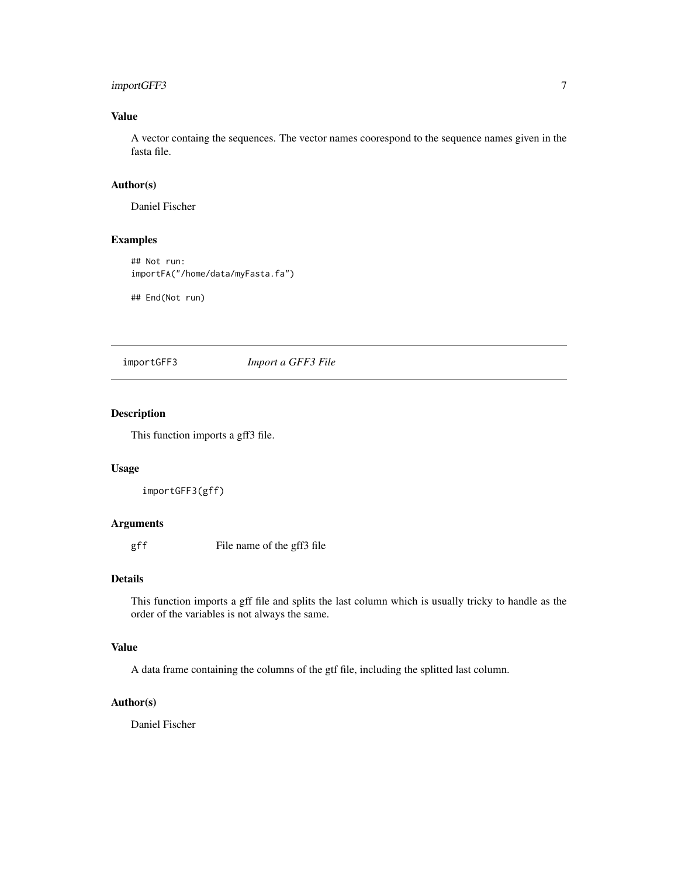# <span id="page-6-0"></span>importGFF3 7

# Value

A vector containg the sequences. The vector names coorespond to the sequence names given in the fasta file.

#### Author(s)

Daniel Fischer

#### Examples

```
## Not run:
importFA("/home/data/myFasta.fa")
```
## End(Not run)

# importGFF3 *Import a GFF3 File*

# Description

This function imports a gff3 file.

# Usage

importGFF3(gff)

# Arguments

gff File name of the gff3 file

#### Details

This function imports a gff file and splits the last column which is usually tricky to handle as the order of the variables is not always the same.

#### Value

A data frame containing the columns of the gtf file, including the splitted last column.

#### Author(s)

Daniel Fischer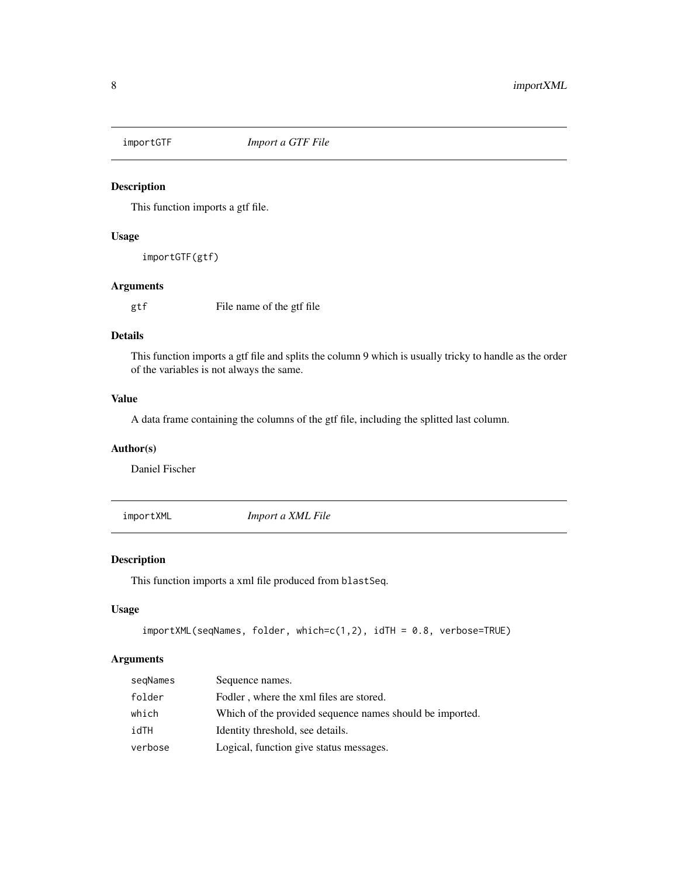<span id="page-7-0"></span>

#### Description

This function imports a gtf file.

#### Usage

importGTF(gtf)

# Arguments

gtf File name of the gtf file

# Details

This function imports a gtf file and splits the column 9 which is usually tricky to handle as the order of the variables is not always the same.

#### Value

A data frame containing the columns of the gtf file, including the splitted last column.

#### Author(s)

Daniel Fischer

importXML *Import a XML File*

# Description

This function imports a xml file produced from blastSeq.

# Usage

```
importXML(seqNames, folder, which=c(1,2), idTH = 0.8, verbose=TRUE)
```
#### Arguments

| segNames | Sequence names.                                          |
|----------|----------------------------------------------------------|
| folder   | Fodler, where the xml files are stored.                  |
| which    | Which of the provided sequence names should be imported. |
| idTH     | Identity threshold, see details.                         |
| verbose  | Logical, function give status messages.                  |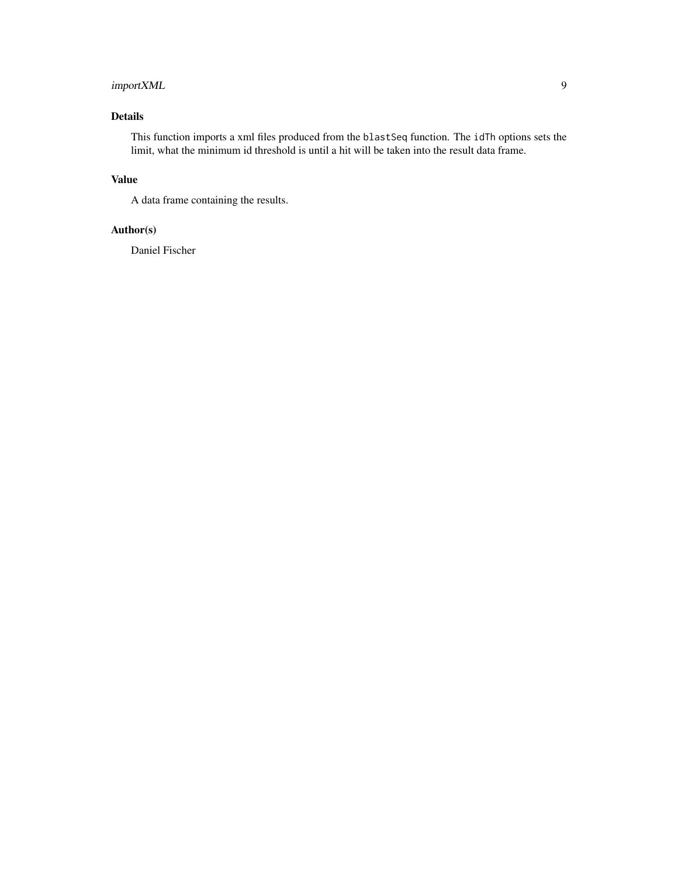# importXML 9

# Details

This function imports a xml files produced from the blastSeq function. The idTh options sets the limit, what the minimum id threshold is until a hit will be taken into the result data frame.

# Value

A data frame containing the results.

# Author(s)

Daniel Fischer